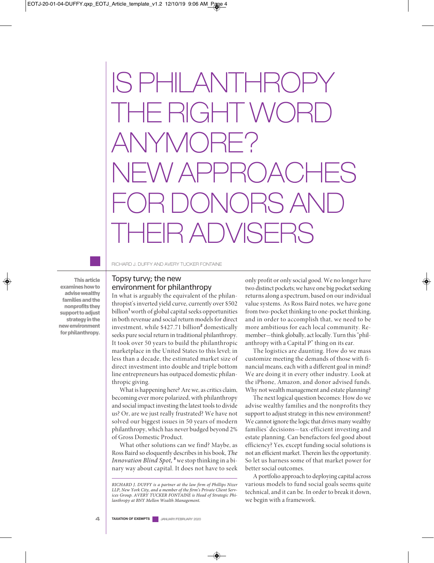# IS PHILANT  $H$  RIGHT V ANYMORE? NEW APPROACHES FOR DONORS AND THEIR ADVISERS

**Thisarticle examines how to advisewealthy familiesandthe nonprofitsthey supporttoadjust strategyinthe newenvironment** for philanthropy. RICHARD J. DUFFY AND AVERY TUCKER FONTAINE

# Topsy turvy; the new environment for philanthropy

In what is arguably the equivalent of the philanthropist's inverted yield curve, currently over \$502 billion**<sup>1</sup>** worth of globalcapital seeks opportunities in both revenue and social return models for direct investment, while \$427.71 billion**<sup>2</sup>** domestically seeks pure social return in traditional philanthropy. It took over 50 years to build the philanthropic marketplace in the United States to this level; in less than a decade, the estimated market size of direct investment into double and triple bottom line entrepreneurs has outpaced domestic philanthropic giving.

What is happening here? Are we, as critics claim, becoming ever more polarized, with philanthropy and social impact investing thelatest tools to divide us? Or, are we just really frustrated? We have not solved our biggest issues in 50 years of modern philanthropy, which has never budged beyond 2% of Gross Domestic Product.

What other solutions can we find? Maybe, as Ross Baird so eloquently describes in his book, The Innovation Blind Spot, **<sup>3</sup>** westop thinking in a binary way about capital. It does not have to seek only profit or only social good. We no longer have two distinct pockets; we have one big pocket seeking returns along a spectrum, based on our individual value systems. As Ross Baird notes, we have gone from two-pocket thinking to one-pocket thinking, and in order to accomplish that, we need to be more ambitious for each local community. Remember—think globally, act locally. Turn this "philanthropy with a Capital P" thing on its ear.

The logistics are daunting. How do we mass customize meeting the demands of those with financial means, each with a different goal in mind? We are doing it in every other industry. Look at the iPhone, Amazon, and donor advised funds. Why not wealth management and estate planning?

The next logical question becomes: How do we advise wealthy families and the nonprofits they support to adjust strategy in this new environment? We cannot ignore the logic that drives many wealthy families' decisions—tax-efficient investing and estate planning. Can benefactors feel good about efficiency? Yes, except funding social solutions is not an efficient market. Therein lies the opportunity. So let us harness some of that market power for better social outcomes.

A portfolio approach to deploying capital across various models to fund social goals seems quite technical, and it can be. In order to break it down, we begin with a framework.

**4 TAXATION OF EXEMPTS** January/February <sup>2020</sup>

*RICHARD J. DUFFY is a partner at the law firm of Phillips Nizer LLP, New York City, and a member of the firm's Private Client Services Group. AVERY TUCKER FONTAINE is Head of Strategic Philanthropy at BNY Mellon Wealth Management.*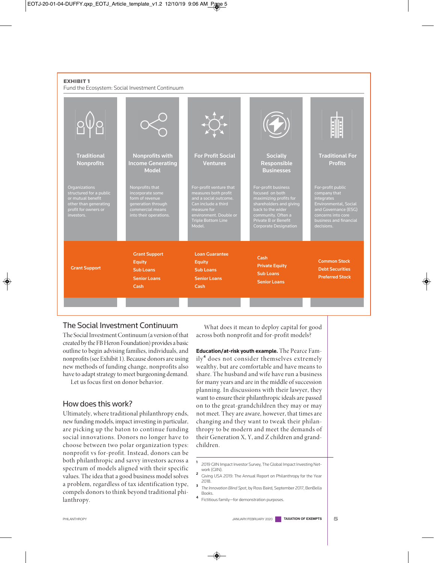#### **EXHIBIT 1**

Fund the Ecosystem: Social Investment Continuum



# The Social Investment Continuum

The Social Investment Continuum (a version of that created by the FBHeron Foundation) provides a basic outline to begin advising families, individuals, and nonprofits(see Exhibit 1). Because donors are using new methods of funding change, nonprofits also have to adapt strategy to meet burgeoning demand.

Let us focus first on donor behavior.

# How does this work?

Ultimately, where traditional philanthropy ends, new funding models, impact investing in particular, are picking up the baton to continue funding social innovations. Donors no longer have to choose between two polar organization types: nonprofit vs for-profit. Instead, donors can be both philanthropic and savvy investors across a spectrum of models aligned with their specific values. The idea that a good business model solves a problem, regardless of tax identification type, compels donors to think beyond traditional philanthropy.

What does it mean to deploy capital for good across both nonprofit and for-profit models?

**Education/at-risk youth example.** The Pearce Family**<sup>4</sup>** does not consider themselves extremely wealthy, but are comfortable and have means to share. The husband and wife have run a business for many years and are in the middle of succession planning. In discussions with their lawyer, they want to ensure their philanthropic ideals are passed on to the great-grandchildren they may or may not meet. They are aware, however, that times are changing and they want to tweak their philanthropy to be modern and meet the demands of their Generation X, Y, and Z children and grandchildren.

- **<sup>1</sup>** 2019 GIIN Impact Investor Survey, The Global Impact Investing Network (GIIN).
- **<sup>2</sup>** Giving USA 2019: The Annual Report on Philanthropy for the Year 2018.
- **<sup>3</sup>** *The Innovation Blind Spot*, by Ross Baird, September 2017, BenBella Books.
- **<sup>4</sup>** Fictitious family—for demonstration purposes.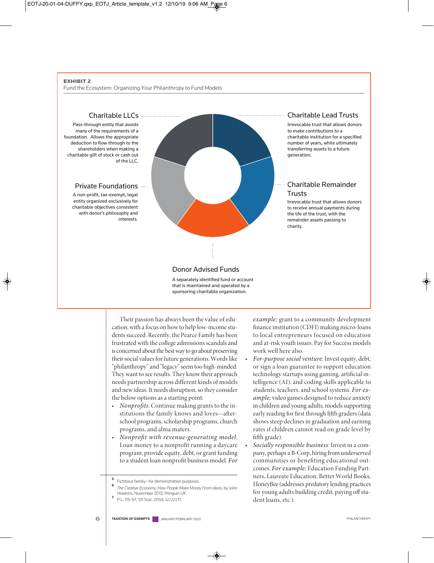#### **EXHIBIT 2**

Fund the Ecosystem: Organizing Your Philanthropy to Fund Models



Their passion has always been the value of education, with a focus on how to help low-incomestudents succeed. Recently, the Pearce Family has been frustrated with thecollege admissions scandals and is concerned about the best way to go about preserving their social values for future generations. Words like "philanthropy" and "legacy"seem too high-minded. They want to seeresults. They know their approach needs partnership across different kinds of models and new ideas. It needs disruption, so they consider the below options as a starting point:

- Nonprofits: Continue making grants to the institutions the family knows and loves-afterschool programs, scholarship programs, church programs, and alma maters.
- Nonprofit with revenue-generating model: Loan money to a nonprofit running a daycare program; provide equity, debt, or grant funding to a student loan nonprofit business model. For

example: grant to a community development finance institution (CDFI) making micro-loans to local entrepreneurs focused on education and at-risk youth issues. Pay for Success models work well here also.

- For-purpose social venture: Invest equity, debt, or sign a loan guarantee to support education technology startups using gaming, artificial intelligence (AI), and coding skills applicable to students, teachers, and school systems. For example: video games designed to reduce anxiety in children and young adults, models supporting early reading for first through fifth graders (data shows steep declines in graduation and earning rates if children cannot read on grade level by fifth grade).
- Socially responsible business: Invest in a company, perhaps a B-Corp, hiring from underserved communities or benefiting educational outcomes. For example: Education Funding Partners, Laureate Education, Better World Books, HoneyBee(addresses predatory lending practices for young adults building credit, paying off student loans, etc.).

**<sup>5</sup>** Fictitious family—for demonstration purposes.

**<sup>6</sup>** *The Creative Economy: How People Make Money From Ideas*, by John Howkins, November 2013, Penguin UK.

**<sup>7</sup>** P.L. 115-97, 131 Stat. 2054, 12/22/17.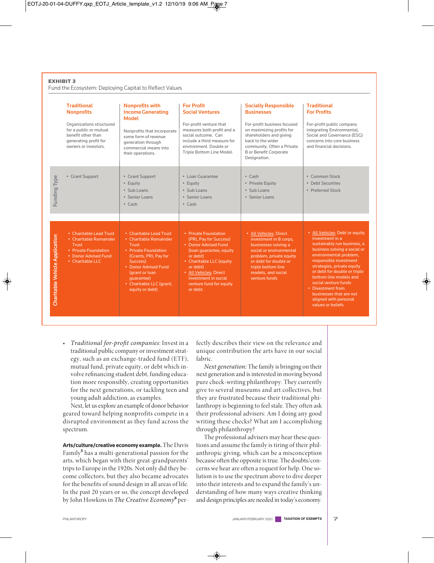#### **EXHIBIT 3**

Fund the Ecosystem: Deploying Capital to Reflect Values

|                                | <b>Traditional</b><br><b>Nonprofits</b><br>Organizations structured<br>for a public or mutual<br>benefit other than<br>generating profit for<br>owners or investors. | <b>Nonprofits with</b><br><b>Income Generating</b><br><b>Model</b><br>Nonprofits that incorporate<br>some form of revenue<br>generation through<br>commercial means into<br>their operations.                                  | <b>For Profit</b><br><b>Social Ventures</b><br>For-profit venture that<br>measures both profit and a<br>social outcome. Can<br>include a third measure for<br>environment. Double or<br>Triple Bottom Line Model.                              | <b>Socially Responsible</b><br><b>Businesses</b><br>For-profit business focused<br>on maximizing profits for<br>shareholders and giving<br>back to the wider<br>community. Often a Private<br><b>B</b> or Benefit Corporate<br>Designation. | <b>Traditional</b><br><b>For Profits</b><br>For-profit public company<br>integrating Environmental,<br>Social and Governance (ESG)<br>concerns into core business<br>and financial decisions.                                                                                                                                                                                      |
|--------------------------------|----------------------------------------------------------------------------------------------------------------------------------------------------------------------|--------------------------------------------------------------------------------------------------------------------------------------------------------------------------------------------------------------------------------|------------------------------------------------------------------------------------------------------------------------------------------------------------------------------------------------------------------------------------------------|---------------------------------------------------------------------------------------------------------------------------------------------------------------------------------------------------------------------------------------------|------------------------------------------------------------------------------------------------------------------------------------------------------------------------------------------------------------------------------------------------------------------------------------------------------------------------------------------------------------------------------------|
| Funding Type                   | • Grant Support                                                                                                                                                      | • Grant Support<br>• Equity<br>• Sub Loans<br>• Senior Loans<br>$\cdot$ Cash                                                                                                                                                   | · Loan Guarantee<br>• Equity<br>$\cdot$ Subloans<br>• Senior Loans<br>$\cdot$ Cash                                                                                                                                                             | $\cdot$ Cash<br>• Private Equity<br>· Sub Loans<br>• Senior Loans                                                                                                                                                                           | • Common Stock<br>• Debt Securities<br>• Preferred Stock                                                                                                                                                                                                                                                                                                                           |
|                                |                                                                                                                                                                      |                                                                                                                                                                                                                                |                                                                                                                                                                                                                                                |                                                                                                                                                                                                                                             |                                                                                                                                                                                                                                                                                                                                                                                    |
| Charitable Vehicle Application | • Charitable Lead Trust<br>• Charitable Remainder<br><b>Trust</b><br>• Private Foundation<br>• Donor Advised Fund<br>• Charitable LLC                                | • Charitable Lead Trust<br>• Charitable Remainder<br>Trust<br>• Private Foundation<br>(Grants, PRI, Pay for<br>Success)<br>• Donor Advised Fund<br>(grant or loan<br>quarantee)<br>• Charitable LLC (grant,<br>equity or debt) | • Private Foundation<br>(PRI, Pay for Success)<br>• Donor Advised Fund<br>(loan guarantee, equity<br>or debt)<br>• Charitable LLC (equity<br>or debt)<br>• All Vehicles: Direct<br>investment in social<br>venture fund for equity<br>or debt. | • All Vehicles: Direct<br>investment in B corps,<br>businesses solving a<br>social or environmental<br>problem, private equity<br>or debt for double or<br>triple bottom line<br>models, and social<br>venture funds                        | • All Vehicles: Debt or equity<br>investment in a<br>sustainably run business, a<br>business solving a social or<br>environmental problem,<br>responsible investment<br>strategies, private equity<br>or debt for double or triple<br>bottom line models and<br>social venture funds<br>• Divestment from<br>businesses that are not<br>aligned with personal<br>values or beliefs |

• Traditional for-profit companies: Invest in a traditional public company or investment strategy, such as an exchange-traded fund (ETF), mutual fund, private equity, or debt which involve refinancing student debt, funding education more responsibly, creating opportunities for the next generations, or tackling teen and young adult addiction, as examples.

Next, let us explore an example of donor behavior geared toward helping nonprofits compete in a disrupted environment as they fund across the spectrum.

**Arts/culture/creative economy example.** The Davis Family**<sup>5</sup>** has a multi-generational passion for the arts, which began with their great-grandparents' trips to Europe in the 1920s. Not only did they become collectors, but they also became advocates for the benefits of sound design in all areas of life. In the past 20 years or so, the concept developed by John Howkins in The Creative Economy**<sup>6</sup>** perfectly describes their view on the relevance and unique contribution the arts have in our social fabric.

Next generation: The family is bringing on their next generation and is interested in moving beyond pure check-writing philanthropy. They currently give to several museums and art collectives, but they are frustrated because their traditional philanthropy is beginning to feel stale. They often ask their professional advisers: Am I doing any good writing these checks? What am I accomplishing through philanthropy?

The professional advisers may hear these questions and assume the family is tiring of their philanthropic giving, which can be a misconception because often the opposite is true. The doubts/concerns we hear are often a request for help. Onesolution is to use the spectrum above to dive deeper into their interests and to expand the family's understanding of how many ways creative thinking and design principles are needed in today's economy.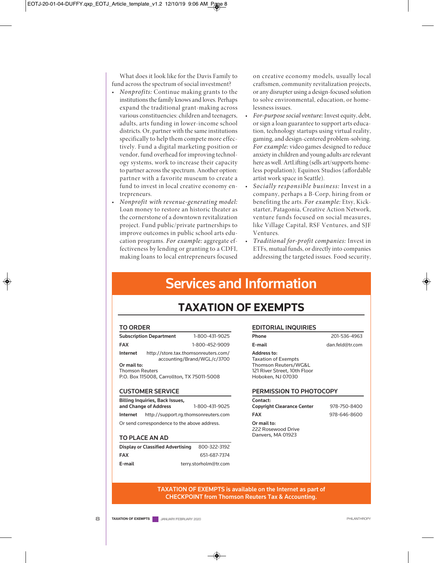What does it look like for the Davis Family to fund across the spectrum of social investment?

- Nonprofits: Continue making grants to the institutions the family knows and loves. Perhaps expand the traditional grant-making across various constituencies: children and teenagers, adults, arts funding in lower-income school districts. Or, partner with the same institutions specifically to help them compete more effectively. Fund a digital marketing position or vendor, fund overhead for improving technology systems, work to increase their capacity to partner across the spectrum. Another option: partner with a favorite museum to create a fund to invest in local creative economy entrepreneurs.
- Nonprofit with revenue-generating model: Loan money to restore an historic theater as the cornerstone of a downtown revitalization project. Fund public/private partnerships to improve outcomes in public school arts education programs. For example: aggregate effectiveness by lending or granting to a CDFI, making loans to local entrepreneurs focused

on creative economy models, usually local craftsmen, community revitalization projects, or any disrupter using a design-focused solution to solve environmental, education, or homelessness issues.

- For-purpose social venture: Invest equity, debt, or sign a loan guarantee to support arts education, technology startups using virtual reality, gaming, and design-centered problem-solving. For example: video games designed to reduce anxiety in children and young adults arerelevant here as well. ArtLifting (sells art/supports homeless population); Equinox Studios (affordable artist work space in Seattle).
- Socially responsible business: Invest in a company, perhaps a B-Corp, hiring from or benefiting the arts. For example: Etsy, Kickstarter, Patagonia, Creative Action Network, venture funds focused on social measures, like Village Capital, RSF Ventures, and SJF Ventures.
- Traditional for-profit companies: Invest in ETFs, mutual funds, or directly into companies addressing the targeted issues. Food security,

# **Services and Information**

# **TAXATION OF EXEMPTS**

#### **TO ORDER**

|                                            | <b>Subscription Department</b>                                      | 1-800-431-9025 |  |  |
|--------------------------------------------|---------------------------------------------------------------------|----------------|--|--|
| <b>FAX</b>                                 |                                                                     | 1-800-452-9009 |  |  |
| Internet                                   | http://store.tax.thomsonreuters.com/<br>accounting/Brand/WGL/c/3700 |                |  |  |
| Or mail to:                                |                                                                     |                |  |  |
| <b>Thomson Reuters</b>                     |                                                                     |                |  |  |
| P.O. Box 115008, Carrollton, TX 75011-5008 |                                                                     |                |  |  |

#### **CUSTOMER SERVICE**

| <b>Billing Inquiries, Back Issues,</b>       |                                      |                |  |  |  |  |
|----------------------------------------------|--------------------------------------|----------------|--|--|--|--|
|                                              | and Change of Address                | 1-800-431-9025 |  |  |  |  |
| Internet                                     | http://support.rg.thomsonreuters.com |                |  |  |  |  |
| Or send correspondence to the above address. |                                      |                |  |  |  |  |

### **TO PLACE AN AD**

| <b>Display or Classified Advertising</b> | 800-322-3192          |
|------------------------------------------|-----------------------|
| <b>FAX</b>                               | 651-687-7374          |
| E-mail                                   | terry.storholm@tr.com |

#### **EDITORIAL INQUIRIES**

**Phone** 201-536-4963 **E-mail** dan.feld@tr.com

## **Address to:**

Taxation of Exempts Thomson Reuters/WG&L 121 River Street, 10th Floor Hoboken, NJ 07030

#### **PERMISSION TO PHOTOCOPY**

| Contact:                          |              |
|-----------------------------------|--------------|
| <b>Copyright Clearance Center</b> | 978-750-8400 |
| <b>FAX</b>                        | 978-646-8600 |
| Or mail to:                       |              |
| 222 Rosewood Drive                |              |
| Danvers, MA 01923                 |              |

#### **TAXATION OF EXEMPTS is available on the Internet as part of CHECKPOINT from Thomson Reuters Tax & Accounting.**